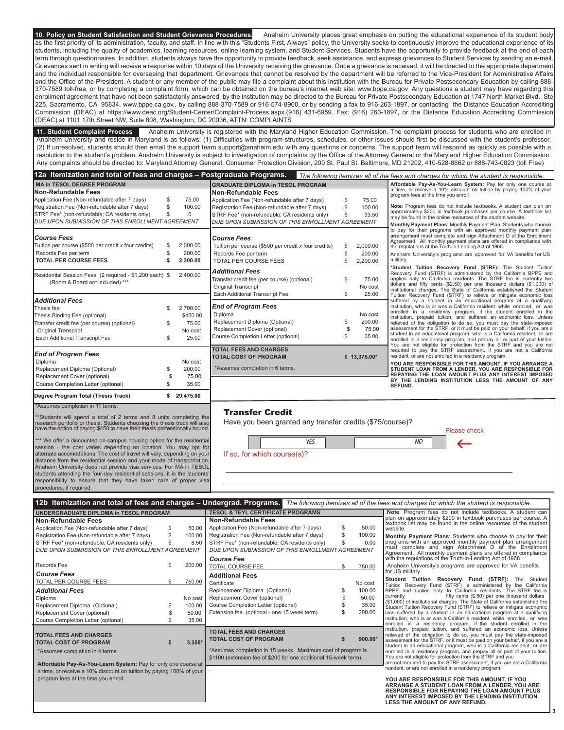**10. Policy on Student Satisfaction and Student Grievance Procedures.** Anaheim University places great emphasis on putting the educational experience of its student body as the first priority of its administration, faculty, and staff. In line with this "Students First, Always" policy, the University seeks to continuously improve the educational experience of its students, including the quality of academics, learning resources, online learning system, and Student Services. Students have the opportunity to provide feedback at the end of each term through questionnaires. In addition, students always have the opportunity to provide feedback, seek assistance, and express grievances to Student Services by sending an e-mail. Grievances sent in writing will receive a response within 10 days of the University receiving the grievance. Once a grievance is received, it will be directed to the appropriate department and the individual responsible for overseeing that department. Grievances that cannot be resolved by the department will be referred to the Vice-President for Administrative Affairs and the Office of the President. A student or any member of the public may file a complaint about this institution with the Bureau for Private Postsecondary Education by calling 888- 370-7589 toll-free, or by completing a complaint form, which can be obtained on the bureau's internet web site: www.bppe.ca.gov Any questions a student may have regarding this enrollment agreement that have not been satisfactorily answered by the institution may be directed to the Bureau for Private Postsecondary Education at 1747 North Market Blvd., Ste 225, Sacramento, CA 95834, www.bppe.ca.gov., by calling 888-370-7589 or 916-574-8900, or by sending a fax to 916-263-1897, or contacting the Distance Education Accrediting Commission (DEAC) at https://www.deac.org/Student-Center/Complaint-Process.aspx.(916) 431-6959. Fax: (916) 263-1897, or the Distance Education Accrediting Commission (DEAC) at 1101 17th Street NW, Suite 808, Washington, DC 20036, ATTN: COMPLAINTS

**11. Student Complaint Process** Anaheim University is registered with the Maryland Higher Education Commission. The complaint process for students who are enrolled in Anaheim University and reside in Maryland is as follows: (1) Difficulties with program structures, schedules, or other issues should first be discussed with the student's professor. (2) If unresolved, students should then email the support team support@anaheim.edu with any questions or concerns. The support team will respond as quickly as possible with a resolution to the student's problem. Anaheim University is subject to investigation of complaints by the Office of the Attorney General or the Maryland Higher Education Commission. Any complaints should be directed to: Maryland Attorney General, Consumer Protection Division, 200 St. Paul St. Baltimore, MD 21202, 410-528-8662 or 888-743-0823 (toll Free)

| 12a Itemization and total of fees and charges – Postgraduate Programs.                                                                                                        |          |                                                   |                                                                                                                                                |          |                                     | The following itemizes all of the fees and charges for which the student is responsible.                                                                                                                                                                                                                                                                                                                                                                                                                                                                                                                                                                            |
|-------------------------------------------------------------------------------------------------------------------------------------------------------------------------------|----------|---------------------------------------------------|------------------------------------------------------------------------------------------------------------------------------------------------|----------|-------------------------------------|---------------------------------------------------------------------------------------------------------------------------------------------------------------------------------------------------------------------------------------------------------------------------------------------------------------------------------------------------------------------------------------------------------------------------------------------------------------------------------------------------------------------------------------------------------------------------------------------------------------------------------------------------------------------|
| <b>MA in TESOL DEGREE PROGRAM</b>                                                                                                                                             |          |                                                   | <b>GRADUATE DIPLOMA in TESOL PROGRAM</b>                                                                                                       |          |                                     | Affordable Pay-As-You-Learn System: Pay for only one course at                                                                                                                                                                                                                                                                                                                                                                                                                                                                                                                                                                                                      |
| <b>Non-Refundable Fees</b>                                                                                                                                                    |          |                                                   | <b>Non-Refundable Fees</b>                                                                                                                     |          |                                     | a time, or receive a 10% discount on tuition by paying 100% of your<br>program fees at the time you enroll                                                                                                                                                                                                                                                                                                                                                                                                                                                                                                                                                          |
| Application Fee (Non-refundable after 7 days)                                                                                                                                 | \$       | 75.00                                             | Application Fee (Non-refundable after 7 days)                                                                                                  | \$       | 75.00                               |                                                                                                                                                                                                                                                                                                                                                                                                                                                                                                                                                                                                                                                                     |
| Registration Fee (Non-refundable after 7 days)                                                                                                                                |          | 100.00                                            | Registration Fee (Non-refundable after 7 days)                                                                                                 | \$       | 100.00                              | Note: Program fees do not include textbooks. A student can plan on                                                                                                                                                                                                                                                                                                                                                                                                                                                                                                                                                                                                  |
| STRF Fee* (non-refundable; CA residents only)                                                                                                                                 |          | 74.00                                             | STRF Fee* (non-refundable; CA residents only)                                                                                                  | \$       | 33.50                               | approximately \$200 in textbook purchases per course. A textbook list<br>may be found in the online resources of the student website.                                                                                                                                                                                                                                                                                                                                                                                                                                                                                                                               |
| DUE UPON SUBMISSION OF THIS ENROLLMENT AGREEMENT                                                                                                                              |          |                                                   | DUE UPON SUBMISSION OF THIS ENROLLMENT AGREEMENT                                                                                               |          |                                     | Monthly Payment Plans: Monthly Payment Plan: Students who choose                                                                                                                                                                                                                                                                                                                                                                                                                                                                                                                                                                                                    |
| lCourse Fees<br>Tuition per course (\$500 per credit x four credits)<br>Records Fee per term<br><b>TOTAL PER COURSE FEES</b>                                                  | \$       | 2,000.00<br>200.00<br>2,200.00                    | <b>Course Fees</b><br>Tuition per course (\$500 per credit x four credits)<br>Records Fee per term<br><b>TOTAL PER COURSE FEES</b>             | S        | 2,000.00<br>200.00<br>2.200.00      | to pay for their programs with an approved monthly payment plan<br>arrangement must complete and sign Attachment D of the Enrollment<br>Agreement. All monthly payment plans are offered in compliance with<br>the regulations of the Truth-in-Lending Act of 1968.<br>Anaheim University's programs are approved for VA benefits for US<br>military.                                                                                                                                                                                                                                                                                                               |
| Residential Session Fees (2 required - \$1,200 each) \$<br>(Room & Board not included) ***                                                                                    |          | 2,400.00                                          | <b>Additional Fees</b><br>Transfer credit fee (per course) (optional)<br><b>Original Transcript</b><br>Each Additional Transcript Fee          | \$<br>\$ | 75.00<br>No cost<br>25.00           | *Student Tuition Recovery Fund (STRF): The Student Tuition<br>Recovery Fund (STRF) is administered by the California BPPE and<br>applies only to California residents. The STRF fee is currently two<br>dollars and fifty cents (\$2.50) per one thousand dollars (\$1,000) of<br>institutional charges. The State of California established the Student<br>Tuition Recovery Fund (STRF) to relieve or mitigate economic loss                                                                                                                                                                                                                                       |
| Additional Fees<br>Thesis fee<br>Thesis Binding Fee (optional)<br>Transfer credit fee (per course) (optional)<br><b>Original Transcript</b><br>Each Additional Transcript Fee | \$<br>\$ | 2,700.00<br>\$450.00<br>75.00<br>No cost<br>25.00 | <b>End of Program Fees</b><br>Diploma<br>Replacement Diploma (Optional)<br>Replacement Cover (optional)<br>Course Completion Letter (optional) | \$       | No cost<br>200.00<br>75.00<br>35.00 | suffered by a student in an educational program at a qualifying<br>institution, who is or was a California resident while enrolled, or was<br>enrolled in a residency program, if the student enrolled in the<br>institution, prepaid tuition, and suffered an economic loss. Unless<br>relieved of the obligation to do so, you must pay the state-imposed<br>assessment for the STRF, or it must be paid on your behalf, if you are a<br>student in an educational program, who is a California resident, or are<br>enrolled in a residency program, and prepay all or part of your tuition.<br>You are not eligible for protection from the STRF and you are not |
| <b>End of Program Fees</b><br>Diploma<br>Replacement Diploma (Optional)<br>Replacement Cover (optional)<br>Course Completion Letter (optional)                                |          | No cost<br>200.00<br>75.00<br>35.00               | <b>TOTAL FEES AND CHARGES</b><br><b>TOTAL COST OF PROGRAM</b><br>*Assumes completion in 6 terms.                                               |          | $$13,375.00*$                       | required to pay the STRF assessment, if you are not a California<br>resident, or are not enrolled in a residency program.<br>YOU ARE RESPONSIBLE FOR THIS AMOUNT. IF YOU ARRANGE A<br>STUDENT LOAN FROM A LENDER, YOU ARE RESPONSIBLE FOR<br>REPAYING THE LOAN AMOUNT PLUS ANY INTEREST IMPOSED<br>BY THE LENDING INSTITUTION LESS THE AMOUNT OF ANY<br><b>REFUND.</b>                                                                                                                                                                                                                                                                                              |
| Degree Program Total (Thesis Track)                                                                                                                                           |          | \$29,475.00                                       |                                                                                                                                                |          |                                     |                                                                                                                                                                                                                                                                                                                                                                                                                                                                                                                                                                                                                                                                     |

Assumes completion in 11 terms.

. \*\*Students will spend a total of 2 terms and 8 units completing the research portfolio or thesis. Students choosing the thesis track will also have the option of paying \$450 to have their thesis professionally bound.

\*\*\* We offer a discounted on-campus housing option for the residentia session - the cost varies depending on location. You may opt for alternate accomodations. The cost of travel will vary, depending on your distance from the residential session and your mode of transportation. Anaheim University does not provide visa services. For MA in TESOL students attending the four-day residential sessions, it is the students' responsibility to ensure that they have taken care of proper visa procedures, if required.

#### Transfer Credit

Have you been granted any transfer credits (\$75/course)?

YES NO

 $\leftarrow$ Please check

**LESS THE AMOUNT OF ANY REFUND.**

If so, for which course(s)?



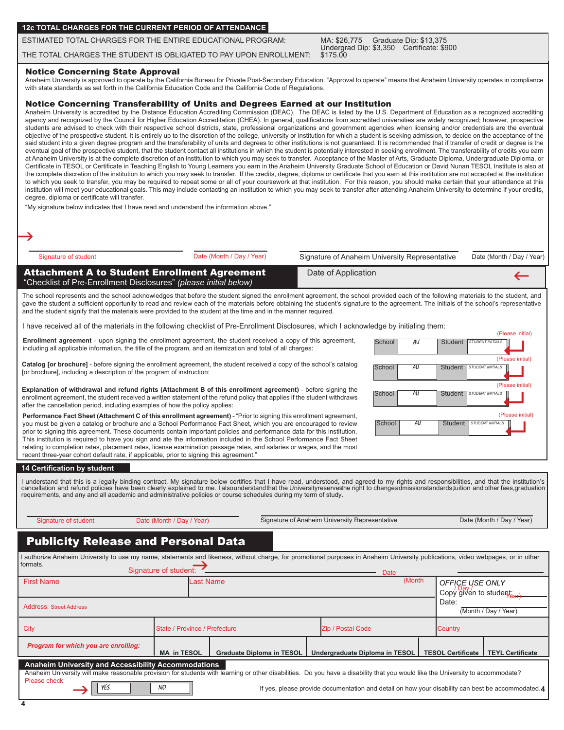## 12c TOTAL CHARGES FOR THE CURRENT PERIOD OF ATTENDANCE

ESTIMATED TOTAL CHARGES FOR THE ENTIRE EDUCATIONAL PROGRAM: MA: \$26,775 Graduate Dip: \$13,375

THE TOTAL CHARGES THE STUDENT IS OBLIGATED TO PAY UPON ENROLLMENT:

#### Notice Concerning State Approval

Anaheim University is approved to operate by the California Bureau for Private Post-Secondary Education. "Approval to operate" means that Anaheim University operates in compliance with state standards as set forth in the California Education Code and the California Code of Regulations.

#### Notice Concerning Transferability of Units and Degrees Earned at our Institution

Anaheim University is accredited by the Distance Education Accrediting Commission (DEAC). The DEAC is listed by the U.S. Department of Education as a recognized accrediting agency and recognized by the Council for Higher Education Accreditation (CHEA). In general, qualifications from accredited universities are widely recognized; however, prospective students are advised to check with their respective school districts, state, professional organizations and government agencies when licensing and/or credentials are the eventual objective of the prospective student. It is entirely up to the discretion of the college, university or institution for which a student is seeking admission, to decide on the acceptance of the said student into a given degree program and the transferability of units and degrees to other institutions is not guaranteed. It is recommended that if transfer of credit or degree is the eventual goal of the prospective student, that the student contact all institutions in which the student is potentially interested in seeking enrollment. The transferability of credits you earn at Anaheim University is at the complete discretion of an institution to which you may seek to transfer. Acceptance of the Master of Arts, Graduate Diploma, Undergraduate Diploma, or Certificate in TESOL or Certificate in Teaching English to Young Learners you earn in the Anaheim University Graduate School of Education or David Nunan TESOL Institute is also at the complete discretion of the institution to which you may seek to transfer. If the credits, degree, diploma or certificate that you earn at this institution are not accepted at the institution to which you seek to transfer, you may be required to repeat some or all of your coursework at that institution. For this reason, you should make certain that your attendance at this institution will meet your educational goals. This may include contacting an institution to which you may seek to transfer after attending Anaheim University to determine if your credits, degree, diploma or certificate will transfer.

"My signature below indicates that I have read and understand the information above."

| Signature of student                                                                                                                                                                                                                                                                                                                                                                                                                                                                                                                   | Date (Month / Day / Year)                                        | Signature of Anaheim University Representative          |                     | Date (Month / Day / Year)                                                                         |  |  |  |
|----------------------------------------------------------------------------------------------------------------------------------------------------------------------------------------------------------------------------------------------------------------------------------------------------------------------------------------------------------------------------------------------------------------------------------------------------------------------------------------------------------------------------------------|------------------------------------------------------------------|---------------------------------------------------------|---------------------|---------------------------------------------------------------------------------------------------|--|--|--|
| <b>Attachment A to Student Enrollment Agreement</b><br>"Checklist of Pre-Enrollment Disclosures" (please initial below)                                                                                                                                                                                                                                                                                                                                                                                                                |                                                                  |                                                         | Date of Application |                                                                                                   |  |  |  |
| The school represents and the school acknowledges that before the student signed the enrollment agreement, the school provided each of the following materials to the student, and<br>gave the student a sufficient opportunity to read and review each of the materials before obtaining the student's signature to the agreement. The initials of the school's representative<br>and the student signify that the materials were provided to the student at the time and in the manner required.                                     |                                                                  |                                                         |                     |                                                                                                   |  |  |  |
| I have received all of the materials in the following checklist of Pre-Enrollment Disclosures, which I acknowledge by initialing them:                                                                                                                                                                                                                                                                                                                                                                                                 |                                                                  |                                                         |                     |                                                                                                   |  |  |  |
| <b>Enrollment agreement</b> - upon signing the enrollment agreement, the student received a copy of this agreement,<br>including all applicable information, the title of the program, and an itemization and total of all charges:                                                                                                                                                                                                                                                                                                    | (Please initial)<br>Student STUDENT INITIALS<br>(Please initial) |                                                         |                     |                                                                                                   |  |  |  |
| <b>Catalog [or brochure]</b> - before signing the enrollment agreement, the student received a copy of the school's catalog<br>School<br>AU<br>Student<br><b>STUDENT INITIALS</b><br>[or brochure], including a description of the program of instruction:                                                                                                                                                                                                                                                                             |                                                                  |                                                         |                     |                                                                                                   |  |  |  |
| (Please initial)<br>Explanation of withdrawal and refund rights (Attachment B of this enrollment agreement) - before signing the<br>School<br>AU<br><b>Student</b><br><b>STUDENT INITIALS</b><br>enrollment agreement, the student received a written statement of the refund policy that applies if the student withdraws<br>after the cancellation period, including examples of how the policy applies:                                                                                                                             |                                                                  |                                                         |                     |                                                                                                   |  |  |  |
| (Please initial)<br>Performance Fact Sheet (Attachment C of this enrollment agreement) - "Prior to signing this enrollment agreement,<br>School<br>AU<br><b>Student</b><br>STUDENT INITIALS<br>you must be given a catalog or brochure and a School Performance Fact Sheet, which you are encouraged to review<br>prior to signing this agreement. These documents contain important policies and performance data for this institution.                                                                                               |                                                                  |                                                         |                     |                                                                                                   |  |  |  |
| This institution is required to have you sign and ate the information included in the School Performance Fact Sheet<br>relating to completion rates, placement rates, license examination passage rates, and salaries or wages, and the most<br>recent three-year cohort default rate, if applicable, prior to signing this agreement."                                                                                                                                                                                                |                                                                  |                                                         |                     |                                                                                                   |  |  |  |
| 14 Certification by student<br>I understand that this is a legally binding contract. My signature below certifies that I have read, understood, and agreed to my rights and responsibilities, and that the institution's<br>cancellation and refund policies have been clearly explained to me. I alsounderstandthat the Universityreserves he right to changeadmissionstandards tuition and other fees, graduation<br>requirements, and any and all academic and administrative policies or course schedules during my term of study. |                                                                  |                                                         |                     |                                                                                                   |  |  |  |
| Signature of student                                                                                                                                                                                                                                                                                                                                                                                                                                                                                                                   | Date (Month / Day / Year)                                        | Signature of Anaheim University Representative          |                     | Date (Month / Day / Year)                                                                         |  |  |  |
| <b>Publicity Release and Personal Data</b>                                                                                                                                                                                                                                                                                                                                                                                                                                                                                             |                                                                  |                                                         |                     |                                                                                                   |  |  |  |
| authorize Anaheim University to use my name, statements and likeness, without charge, for promotional purposes in Anaheim University publications, video webpages, or in other<br>formats.                                                                                                                                                                                                                                                                                                                                             | Signature of student:                                            |                                                         | Date                |                                                                                                   |  |  |  |
| <b>First Name</b>                                                                                                                                                                                                                                                                                                                                                                                                                                                                                                                      | (Month                                                           | OFFICE USE ONLY<br>Copy given to student <sub>ear</sub> |                     |                                                                                                   |  |  |  |
| <b>Address: Street Address</b>                                                                                                                                                                                                                                                                                                                                                                                                                                                                                                         |                                                                  |                                                         |                     | Date:<br>(Month / Day / Year)                                                                     |  |  |  |
| City                                                                                                                                                                                                                                                                                                                                                                                                                                                                                                                                   | State / Province / Prefecture                                    | Zip / Postal Code                                       |                     | Country                                                                                           |  |  |  |
| Program for which you are enrolling:                                                                                                                                                                                                                                                                                                                                                                                                                                                                                                   | <b>MA in TESOL</b><br>Graduate Diploma in TESOL                  | Undergraduate Diploma in TESOL                          |                     | <b>TESOL Certificate   TEYL Certificate</b>                                                       |  |  |  |
| <b>Anaheim University and Accessibility Accommodations</b><br>Anaheim University will make reasonable provision for students with learning or other disabilities. Do you have a disability that you would like the University to accommodate?                                                                                                                                                                                                                                                                                          |                                                                  |                                                         |                     |                                                                                                   |  |  |  |
| Please check<br>YES                                                                                                                                                                                                                                                                                                                                                                                                                                                                                                                    | NO                                                               |                                                         |                     | If yes, please provide documentation and detail on how your disability can best be accommodated.4 |  |  |  |
| 4                                                                                                                                                                                                                                                                                                                                                                                                                                                                                                                                      |                                                                  |                                                         |                     |                                                                                                   |  |  |  |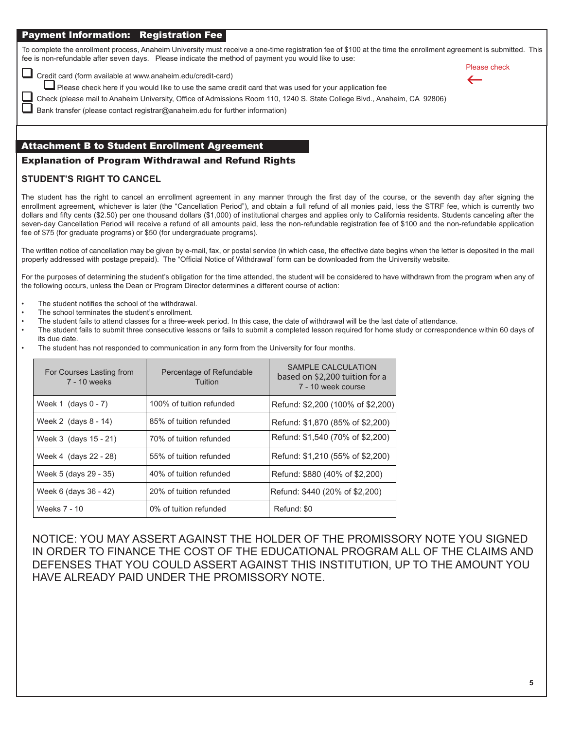## Payment Information: Registration Fee

To complete the enrollment process, Anaheim University must receive a one-time registration fee of \$100 at the time the enrollment agreement is submitted. This fee is non-refundable after seven days. Please indicate the method of payment you would like to use:

Please check  $\leftarrow$ 

Credit card (form available at www.anaheim.edu/credit-card)

Please check here if you would like to use the same credit card that was used for your application fee

Check (please mail to Anaheim University, Office of Admissions Room 110, 1240 S. State College Blvd., Anaheim, CA 92806)

Bank transfer (please contact registrar@anaheim.edu for further information)

# Attachment B to Student Enrollment Agreement

## Explanation of Program Withdrawal and Refund Rights

## **STUDENT'S RIGHT TO CANCEL**

The student has the right to cancel an enrollment agreement in any manner through the first day of the course, or the seventh day after signing the enrollment agreement, whichever is later (the "Cancellation Period"), and obtain a full refund of all monies paid, less the STRF fee, which is currently two dollars and fifty cents (\$2.50) per one thousand dollars (\$1,000) of institutional charges and applies only to California residents. Students canceling after the seven-day Cancellation Period will receive a refund of all amounts paid, less the non-refundable registration fee of \$100 and the non-refundable application fee of \$75 (for graduate programs) or \$50 (for undergraduate programs).

The written notice of cancellation may be given by e-mail, fax, or postal service (in which case, the effective date begins when the letter is deposited in the mail properly addressed with postage prepaid). The "Official Notice of Withdrawal" form can be downloaded from the University website.

For the purposes of determining the student's obligation for the time attended, the student will be considered to have withdrawn from the program when any of the following occurs, unless the Dean or Program Director determines a different course of action:

- The student notifies the school of the withdrawal.
- The school terminates the student's enrollment.
- The student fails to attend classes for a three-week period. In this case, the date of withdrawal will be the last date of attendance.
- The student fails to submit three consecutive lessons or fails to submit a completed lesson required for home study or correspondence within 60 days of its due date.
- The student has not responded to communication in any form from the University for four months.

| For Courses Lasting from<br>7 - 10 weeks | Percentage of Refundable<br>Tuition | <b>SAMPLE CALCULATION</b><br>based on \$2,200 tuition for a<br>7 - 10 week course |
|------------------------------------------|-------------------------------------|-----------------------------------------------------------------------------------|
| Week 1 $(days 0 - 7)$                    | 100% of tuition refunded            | Refund: \$2,200 (100% of \$2,200)                                                 |
| Week 2 $(days 8 - 14)$                   | 85% of tuition refunded             | Refund: \$1,870 (85% of \$2,200)                                                  |
| Week 3 (days 15 - 21)                    | 70% of tuition refunded             | Refund: \$1,540 (70% of \$2,200)                                                  |
| Week 4 (days 22 - 28)                    | 55% of tuition refunded             | Refund: \$1,210 (55% of \$2,200)                                                  |
| Week 5 (days 29 - 35)                    | 40% of tuition refunded             | Refund: \$880 (40% of \$2,200)                                                    |
| Week 6 (days 36 - 42)                    | 20% of tuition refunded             | Refund: \$440 (20% of \$2,200)                                                    |
| Weeks 7 - 10                             | 0% of tuition refunded              | Refund: \$0                                                                       |

NOTICE: YOU MAY ASSERT AGAINST THE HOLDER OF THE PROMISSORY NOTE YOU SIGNED IN ORDER TO FINANCE THE COST OF THE EDUCATIONAL PROGRAM ALL OF THE CLAIMS AND DEFENSES THAT YOU COULD ASSERT AGAINST THIS INSTITUTION, UP TO THE AMOUNT YOU HAVE ALREADY PAID UNDER THE PROMISSORY NOTE.